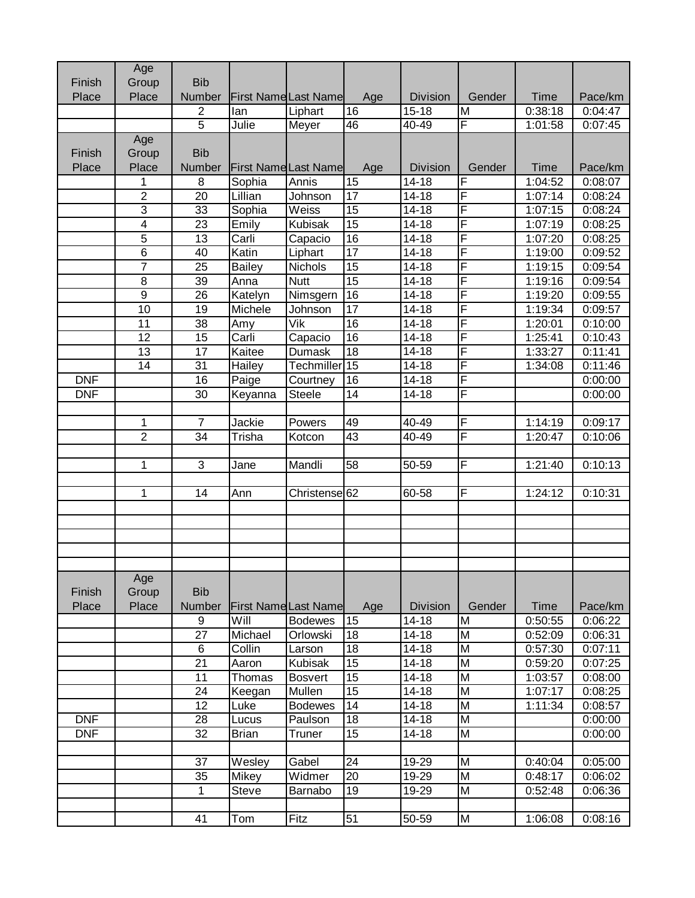|            | Age             |                 |               |                             |                 |                      |                |             |         |
|------------|-----------------|-----------------|---------------|-----------------------------|-----------------|----------------------|----------------|-------------|---------|
| Finish     | Group           | <b>Bib</b>      |               |                             |                 |                      |                |             |         |
| Place      | Place           | <b>Number</b>   |               | <b>First NameLast Name</b>  | Age             | <b>Division</b>      | Gender         | <b>Time</b> | Pace/km |
|            |                 | 2               | lan           | Liphart                     | 16              | $15 - 18$            | M              | 0:38:18     | 0:04:47 |
|            |                 | $\overline{5}$  | Julie         | Meyer                       | 46              | 40-49                | F              | 1:01:58     | 0:07:45 |
|            | Age             |                 |               |                             |                 |                      |                |             |         |
| Finish     | Group           | <b>Bib</b>      |               |                             |                 |                      |                |             |         |
| Place      | Place           | Number          |               | <b>First Name Last Name</b> | Age             | <b>Division</b>      | Gender         | Time        | Pace/km |
|            | 1               | 8               | Sophia        | Annis                       | $\overline{15}$ | $\overline{14} - 18$ | F              | 1:04:52     | 0:08:07 |
|            | $\overline{2}$  | 20              | Lillian       | Johnson                     | 17              | $14 - 18$            | F              | 1:07:14     | 0:08:24 |
|            | $\overline{3}$  | 33              | Sophia        | Weiss                       | $\overline{15}$ | $14 - 18$            | F              | 1:07:15     | 0:08:24 |
|            | $\overline{4}$  | 23              | Emily         | Kubisak                     | 15              | $14 - 18$            | F              | 1:07:19     | 0:08:25 |
|            | $\overline{5}$  | $\overline{13}$ | Carli         | Capacio                     | 16              | $14 - 18$            | F              | 1:07:20     | 0:08:25 |
|            | $\overline{6}$  | 40              | Katin         | Liphart                     | $\overline{17}$ | $14 - 18$            | F              | 1:19:00     | 0:09:52 |
|            | $\overline{7}$  | 25              | <b>Bailey</b> | Nichols                     | 15              | $14 - 18$            | F              | 1:19:15     | 0:09:54 |
|            | $\overline{8}$  | 39              | Anna          | <b>Nutt</b>                 | $\overline{15}$ | $14 - 18$            | F              | 1:19:16     | 0:09:54 |
|            | $\overline{9}$  | 26              | Katelyn       | Nimsgern                    | 16              | $14 - 18$            | F              | 1:19:20     | 0:09:55 |
|            | 10              | 19              | Michele       | Johnson                     | 17              | $14 - 18$            | F              | 1:19:34     | 0:09:57 |
|            | $\overline{11}$ | 38              | Amy           | $\overline{\mathsf{V}}$ ik  | $\overline{16}$ | $14 - 18$            | F              | 1:20:01     | 0:10:00 |
|            | 12              | 15              | Carli         | Capacio                     | 16              | $14 - 18$            | F              | 1:25:41     | 0:10:43 |
|            | 13              | 17              | Kaitee        | <b>Dumask</b>               | 18              | $14 - 18$            | F              | 1:33:27     | 0:11:41 |
|            | 14              | 31              | Hailey        | Techmiller <sup>15</sup>    |                 | $14 - 18$            | F              | 1:34:08     | 0:11:46 |
| <b>DNF</b> |                 | 16              | Paige         | Courtney                    | 16              | $14 - 18$            | F              |             | 0:00:00 |
| <b>DNF</b> |                 | 30              | Keyanna       | Steele                      | 14              | $14 - 18$            | F              |             | 0:00:00 |
|            |                 |                 |               |                             |                 |                      |                |             |         |
|            | 1               | $\overline{7}$  | Jackie        | Powers                      | 49              | 40-49                | F              | 1:14:19     | 0:09:17 |
|            | $\overline{2}$  | 34              | Trisha        | Kotcon                      | 43              | $40 - 49$            | F              | 1:20:47     | 0:10:06 |
|            |                 |                 |               |                             |                 |                      |                |             |         |
|            | 1               | $\mathbf{3}$    | Jane          | Mandli                      | 58              | 50-59                | F              | 1:21:40     | 0:10:13 |
|            |                 |                 |               |                             |                 |                      |                |             |         |
|            | 1               | 14              | Ann           | Christense <sup>62</sup>    |                 | 60-58                | F              | 1:24:12     | 0:10:31 |
|            |                 |                 |               |                             |                 |                      |                |             |         |
|            |                 |                 |               |                             |                 |                      |                |             |         |
|            |                 |                 |               |                             |                 |                      |                |             |         |
|            |                 |                 |               |                             |                 |                      |                |             |         |
|            |                 |                 |               |                             |                 |                      |                |             |         |
|            | Age             |                 |               |                             |                 |                      |                |             |         |
| Finish     | Group           | <b>Bib</b>      |               |                             |                 |                      |                |             |         |
| Place      | Place           | Number          |               | <b>First Name Last Name</b> | Age             | <b>Division</b>      | Gender         | <b>Time</b> | Pace/km |
|            |                 | 9               | Will          | <b>Bodewes</b>              | 15              | 14-18                | M              | 0:50:55     | 0:06:22 |
|            |                 | 27              | Michael       | Orlowski                    | 18              | $14 - 18$            | M              | 0:52:09     | 0:06:31 |
|            |                 | $\,6$           | Collin        | Larson                      | 18              | $14 - 18$            | M              | 0:57:30     | 0:07:11 |
|            |                 | 21              | Aaron         | Kubisak                     | 15              | $14 - 18$            | M              | 0:59:20     | 0:07:25 |
|            |                 | 11              | Thomas        | <b>Bosvert</b>              | 15              | $14 - 18$            | $\overline{M}$ | 1:03:57     | 0:08:00 |
|            |                 | 24              | Keegan        | Mullen                      | 15              | $14 - 18$            | M              | 1:07:17     | 0:08:25 |
|            |                 | 12              | Luke          | <b>Bodewes</b>              | 14              | $14 - 18$            | M              | 1:11:34     | 0:08:57 |
| <b>DNF</b> |                 | 28              | Lucus         | Paulson                     | 18              | $14 - 18$            | $\overline{M}$ |             | 0:00:00 |
| <b>DNF</b> |                 | 32              | <b>Brian</b>  | <b>Truner</b>               | 15              | $14 - 18$            | M              |             | 0:00:00 |
|            |                 |                 |               |                             |                 |                      |                |             |         |
|            |                 | 37              | Wesley        | Gabel                       | $\overline{24}$ | 19-29                | $\overline{M}$ | 0:40:04     | 0:05:00 |
|            |                 | 35              | <b>Mikey</b>  | Widmer                      | 20              | 19-29                | $\overline{M}$ | 0:48:17     | 0:06:02 |
|            |                 | $\mathbf 1$     | <b>Steve</b>  | Barnabo                     | 19              | 19-29                | M              | 0:52:48     | 0:06:36 |
|            |                 |                 |               |                             |                 |                      |                |             |         |
|            |                 | 41              | Tom           | Fitz                        | 51              | 50-59                | M              | 1:06:08     | 0:08:16 |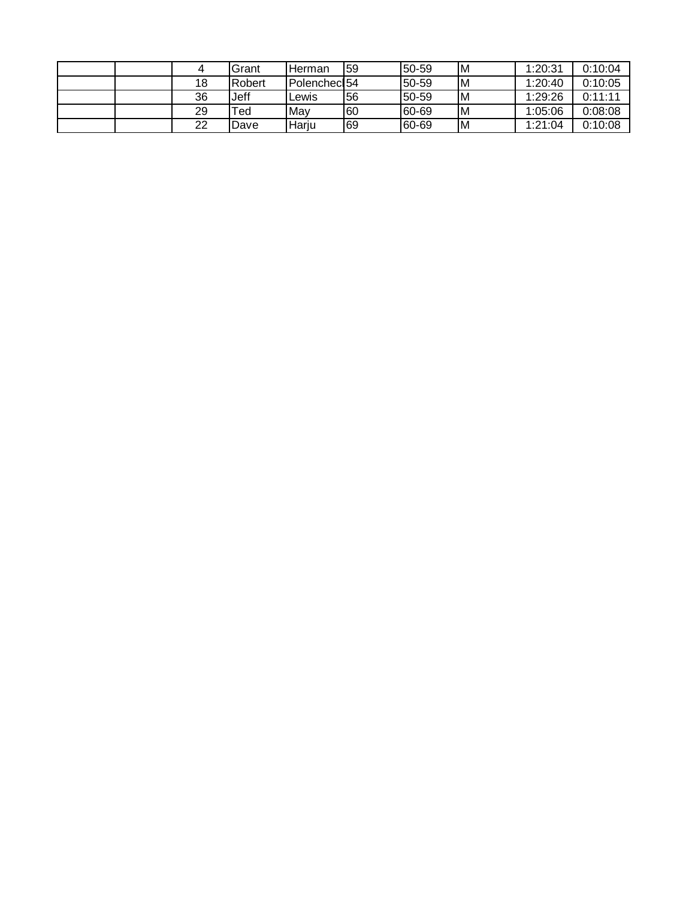|  |    | Grant     | <b>Herman</b> | 59 | 50-59 | M | 1:20:31 | 0:10:04 |
|--|----|-----------|---------------|----|-------|---|---------|---------|
|  | 18 | Robert    | IPolenchecl54 |    | 50-59 | M | 1:20:40 | 0:10:05 |
|  | 36 | Jeff      | Lewis         | 56 | 50-59 | M | 1:29:26 | 0:11:11 |
|  | 29 | $\tau$ ed | Mav           | 60 | 60-69 | M | 1:05:06 | 0:08:08 |
|  | 22 | Dave      | lHariu        | 69 | 60-69 | M | 1:21:04 | 0:10:08 |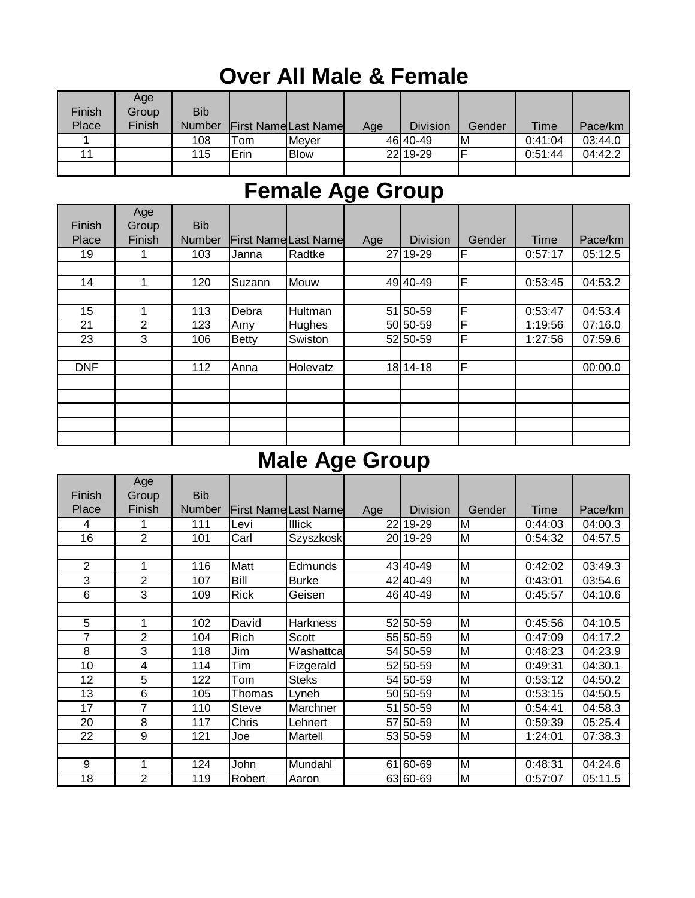#### **Over All Male & Female**

|        | Age    |               |                             |              |     |                 |        |         |         |
|--------|--------|---------------|-----------------------------|--------------|-----|-----------------|--------|---------|---------|
| Finish | Group  | <b>Bib</b>    |                             |              |     |                 |        |         |         |
| Place  | Finish | <b>Number</b> | <b>First Name Last Name</b> |              | Age | <b>Division</b> | Gender | Time    | Pace/km |
|        |        | 108           | $\tau$ om                   | <b>Mever</b> |     | 46 40 - 49      | M      | 0:41:04 | 03:44.0 |
| 11     |        | 115           | Erin                        | <b>Blow</b>  |     | 22 19 - 29      |        | 0:51:44 | 04:42.2 |
|        |        |               |                             |              |     |                 |        |         |         |

# **Female Age Group**

|            | Age    |               |              |                            |     |                 |        |         |         |
|------------|--------|---------------|--------------|----------------------------|-----|-----------------|--------|---------|---------|
| Finish     | Group  | <b>Bib</b>    |              |                            |     |                 |        |         |         |
| Place      | Finish | <b>Number</b> |              | <b>First NameLast Name</b> | Age | <b>Division</b> | Gender | Time    | Pace/km |
| 19         | 1      | 103           | Janna        | Radtke                     |     | 27 19-29        | F      | 0:57:17 | 05:12.5 |
|            |        |               |              |                            |     |                 |        |         |         |
| 14         |        | 120           | Suzann       | Mouw                       |     | 49 40 - 49      | F      | 0:53:45 | 04:53.2 |
|            |        |               |              |                            |     |                 |        |         |         |
| 15         |        | 113           | Debra        | Hultman                    |     | 51 50-59        | F      | 0:53:47 | 04:53.4 |
| 21         | 2      | 123           | Amy          | Hughes                     |     | 50 50-59        | F      | 1:19:56 | 07:16.0 |
| 23         | 3      | 106           | <b>Betty</b> | Swiston                    |     | 52 50-59        | F      | 1:27:56 | 07:59.6 |
|            |        |               |              |                            |     |                 |        |         |         |
| <b>DNF</b> |        | 112           | Anna         | Holevatz                   |     | 18 14 - 18      | F      |         | 00:00.0 |
|            |        |               |              |                            |     |                 |        |         |         |
|            |        |               |              |                            |     |                 |        |         |         |
|            |        |               |              |                            |     |                 |        |         |         |
|            |        |               |              |                            |     |                 |        |         |         |
|            |        |               |              |                            |     |                 |        |         |         |

#### **Male Age Group**

|                | Age    |               |              |                            |     |                 |        |         |         |
|----------------|--------|---------------|--------------|----------------------------|-----|-----------------|--------|---------|---------|
| Finish         | Group  | <b>Bib</b>    |              |                            |     |                 |        |         |         |
| Place          | Finish | <b>Number</b> |              | <b>First NameLast Name</b> | Age | <b>Division</b> | Gender | Time    | Pace/km |
| 4              |        | 111           | Levi         | Illick                     |     | 22 19 - 29      | M      | 0:44:03 | 04:00.3 |
| 16             | 2      | 101           | Carl         | Szyszkoski                 |     | 20 19-29        | M      | 0:54:32 | 04:57.5 |
|                |        |               |              |                            |     |                 |        |         |         |
| $\overline{2}$ | 1      | 116           | Matt         | Edmunds                    |     | 43 40-49        | M      | 0:42:02 | 03:49.3 |
| 3              | 2      | 107           | Bill         | <b>Burke</b>               |     | 42 40-49        | M      | 0:43:01 | 03:54.6 |
| 6              | 3      | 109           | <b>Rick</b>  | Geisen                     |     | 46 40-49        | M      | 0:45:57 | 04:10.6 |
|                |        |               |              |                            |     |                 |        |         |         |
| 5              | 1      | 102           | David        | <b>Harkness</b>            |     | 52 50-59        | M      | 0:45:56 | 04:10.5 |
| 7              | 2      | 104           | <b>Rich</b>  | Scott                      |     | 55 50-59        | M      | 0:47:09 | 04:17.2 |
| 8              | 3      | 118           | Jim          | Washattca                  |     | 54 50-59        | M      | 0:48:23 | 04:23.9 |
| 10             | 4      | 114           | Tim          | Fizgerald                  |     | 52 50-59        | M      | 0:49:31 | 04:30.1 |
| 12             | 5      | 122           | Tom          | <b>Steks</b>               |     | 54 50-59        | M      | 0:53:12 | 04:50.2 |
| 13             | 6      | 105           | Thomas       | Lyneh                      |     | 50 50-59        | M      | 0:53:15 | 04:50.5 |
| 17             | 7      | 110           | Steve        | Marchner                   | 51  | 50-59           | M      | 0:54:41 | 04:58.3 |
| 20             | 8      | 117           | <b>Chris</b> | Lehnert                    |     | 57 50-59        | M      | 0:59:39 | 05:25.4 |
| 22             | 9      | 121           | Joe          | Martell                    |     | 53 50-59        | M      | 1:24:01 | 07:38.3 |
|                |        |               |              |                            |     |                 |        |         |         |
| 9              | 1      | 124           | John         | Mundahl                    | 61  | 60-69           | M      | 0:48:31 | 04:24.6 |
| 18             | 2      | 119           | Robert       | Aaron                      |     | 63 60-69        | M      | 0:57:07 | 05:11.5 |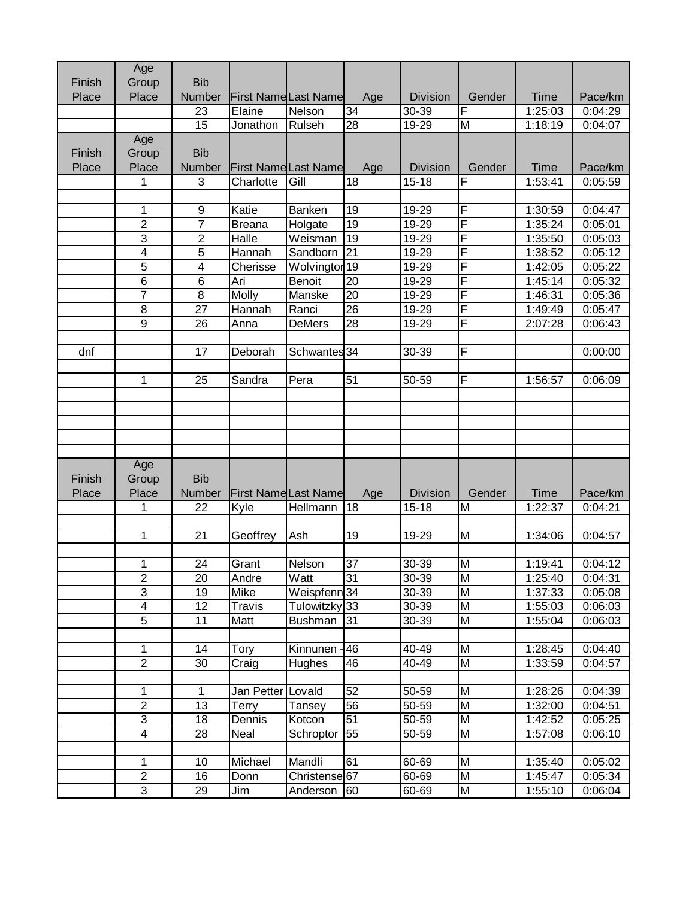|        | Age                     |                |                   |                                |                 |                 |                         |             |         |
|--------|-------------------------|----------------|-------------------|--------------------------------|-----------------|-----------------|-------------------------|-------------|---------|
| Finish | Group                   | <b>Bib</b>     |                   |                                |                 |                 |                         |             |         |
| Place  | Place                   | <b>Number</b>  |                   | <b>First Name Last Name</b>    | Age             | <b>Division</b> | Gender                  | <b>Time</b> | Pace/km |
|        |                         | 23             | Elaine            | Nelson                         | 34              | 30-39           | F                       | 1:25:03     | 0:04:29 |
|        |                         | 15             | Jonathon          | Rulseh                         | $\overline{28}$ | $19 - 29$       | $\overline{M}$          | 1:18:19     | 0:04:07 |
|        | Age                     |                |                   |                                |                 |                 |                         |             |         |
| Finish | Group                   | <b>Bib</b>     |                   |                                |                 |                 |                         |             |         |
| Place  | Place                   | Number         |                   | <b>First Name Last Name</b>    | Age             | <b>Division</b> | Gender                  | <b>Time</b> | Pace/km |
|        | 1                       | 3              | Charlotte         | Gill                           | 18              | $15 - 18$       | F                       | 1:53:41     | 0:05:59 |
|        |                         |                |                   |                                |                 |                 |                         |             |         |
|        | 1                       | 9              | Katie             | Banken                         | 19              | 19-29           | F                       | 1:30:59     | 0:04:47 |
|        | $\overline{2}$          | $\overline{7}$ | <b>Breana</b>     | Holgate                        | $\overline{19}$ | 19-29           | F                       | 1:35:24     | 0:05:01 |
|        | $\overline{3}$          | $\overline{2}$ | Halle             | $\overline{\mathsf{W}}$ eisman | $\overline{19}$ | $19 - 29$       | F                       | 1:35:50     | 0:05:03 |
|        | $\overline{4}$          | 5              | Hannah            | Sandborn                       | $\overline{21}$ | 19-29           | F                       | 1:38:52     | 0:05:12 |
|        | $\overline{5}$          | 4              | Cherisse          | Wolvingtor <sub>19</sub>       |                 | 19-29           | F                       | 1:42:05     | 0:05:22 |
|        | $\overline{6}$          | $\,6$          | Ari               | Benoit                         | 20              | 19-29           | F                       | 1:45:14     | 0:05:32 |
|        | $\overline{7}$          | 8              | Molly             | Manske                         | 20              | 19-29           | F                       | 1:46:31     | 0:05:36 |
|        | 8                       | 27             | Hannah            | Ranci                          | 26              | 19-29           | F                       | 1:49:49     | 0:05:47 |
|        | $\overline{9}$          | 26             | Anna              | <b>DeMers</b>                  | $\overline{28}$ | 19-29           | F                       | 2:07:28     | 0:06:43 |
|        |                         |                |                   |                                |                 |                 |                         |             |         |
| dnf    |                         | 17             | Deborah           | Schwantes 34                   |                 | 30-39           | F                       |             | 0:00:00 |
|        |                         |                |                   |                                |                 |                 |                         |             |         |
|        | 1                       | 25             | Sandra            | Pera                           | 51              | 50-59           | F                       | 1:56:57     | 0:06:09 |
|        |                         |                |                   |                                |                 |                 |                         |             |         |
|        |                         |                |                   |                                |                 |                 |                         |             |         |
|        |                         |                |                   |                                |                 |                 |                         |             |         |
|        |                         |                |                   |                                |                 |                 |                         |             |         |
|        |                         |                |                   |                                |                 |                 |                         |             |         |
|        | Age                     |                |                   |                                |                 |                 |                         |             |         |
| Finish | Group                   | <b>Bib</b>     |                   |                                |                 |                 |                         |             |         |
| Place  | Place                   | <b>Number</b>  |                   | <b>First Name Last Name</b>    | Age             | Division        | Gender                  | <b>Time</b> | Pace/km |
|        | 1                       | 22             | Kyle              | Hellmann                       | 18              | $15 - 18$       | $\overline{M}$          | 1:22:37     | 0:04:21 |
|        |                         |                |                   |                                |                 |                 |                         |             |         |
|        | 1                       | 21             | Geoffrey          | Ash                            | 19              | 19-29           | M                       | 1:34:06     | 0:04:57 |
|        |                         |                |                   |                                |                 |                 |                         |             |         |
|        | 1                       | 24             | Grant             | Nelson                         | 37              | 30-39           | M                       | 1:19:41     | 0:04:12 |
|        | $\overline{2}$          | 20             | Andre             | Watt                           | 31              | 30-39           | M                       | 1:25:40     | 0:04:31 |
|        | 3                       | 19             | Mike              | Weispfenn <sub>34</sub>        |                 | 30-39           | $\overline{\mathsf{M}}$ | 1:37:33     | 0:05:08 |
|        | 4                       | 12             | <b>Travis</b>     | Tulowitzky 33                  |                 | 30-39           | $\overline{\mathsf{M}}$ | 1:55:03     | 0:06:03 |
|        | $\overline{5}$          | 11             | Matt              | <b>Bushman</b>                 | 31              | 30-39           | M                       | 1:55:04     | 0:06:03 |
|        |                         |                |                   |                                |                 |                 |                         |             |         |
|        | 1                       | 14             | Tory              | Kinnunen                       | 46              | 40-49           | M                       | 1:28:45     | 0:04:40 |
|        | $\overline{2}$          | 30             | Craig             | Hughes                         | 46              | 40-49           | M                       | 1:33:59     | 0:04:57 |
|        |                         |                |                   |                                |                 |                 |                         |             |         |
|        | 1                       | 1              | Jan Petter Lovald |                                | 52              | 50-59           | M                       | 1:28:26     | 0:04:39 |
|        | $\sqrt{2}$              | 13             | Terry             | Tansey                         | 56              | 50-59           | $\overline{M}$          | 1:32:00     | 0:04:51 |
|        | $\overline{3}$          | 18             | Dennis            | Kotcon                         | $\overline{51}$ | 50-59           | $\overline{M}$          | 1:42:52     | 0:05:25 |
|        | $\overline{\mathbf{4}}$ | 28             | Neal              | Schroptor                      | 55              | 50-59           | M                       | 1:57:08     | 0:06:10 |
|        |                         |                |                   |                                |                 |                 |                         |             |         |
|        | 1                       | 10             | Michael           | Mandli                         | 61              | 60-69           | M                       | 1:35:40     | 0:05:02 |
|        | $\overline{2}$          | 16             | Donn              | Christense <sup>67</sup>       |                 | 60-69           | $\overline{M}$          | 1:45:47     | 0:05:34 |
|        | $\overline{\omega}$     | 29             | Jim               | Anderson                       | 60              | 60-69           | M                       | 1:55:10     | 0:06:04 |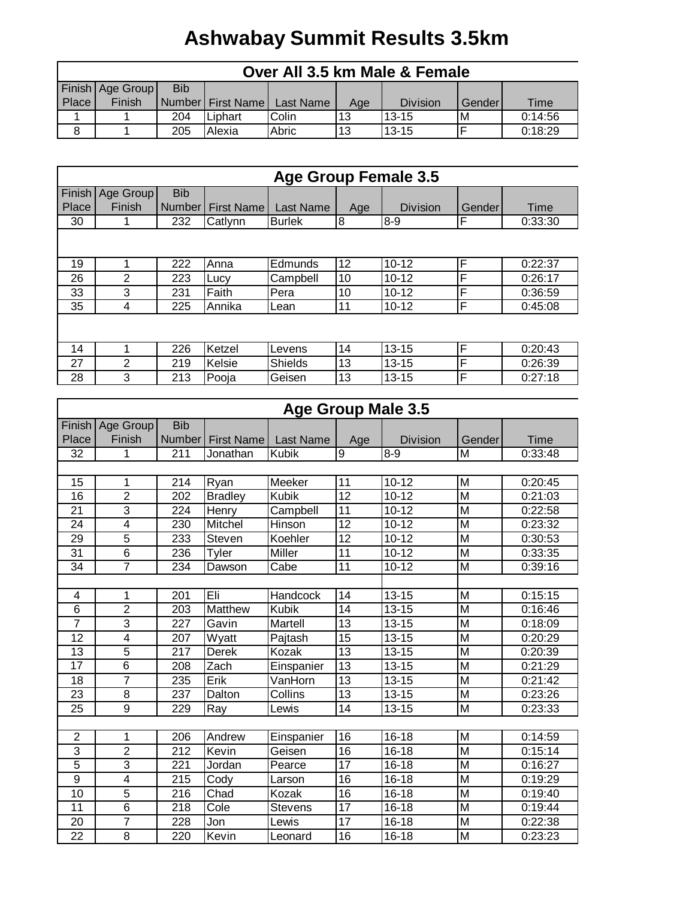## **Ashwabay Summit Results 3.5km**

|       | Over All 3.5 km Male & Female |            |         |                                 |     |           |         |         |  |
|-------|-------------------------------|------------|---------|---------------------------------|-----|-----------|---------|---------|--|
|       | Finish Age Group              | <b>Bib</b> |         |                                 |     |           |         |         |  |
| Place | Finish                        |            |         | Number   First Name   Last Name | Age | Division  | Genderl | Time    |  |
|       |                               | 204        | Liphart | Colin                           | 13  | $13 - 15$ | ΙM      | 0:14:56 |  |
|       |                               | 205        | Alexia  | Abric                           | 13  | $13 - 15$ |         | 0:18:29 |  |

|       |                    |               |                   | <b>Age Group Female 3.5</b> |     |                 |             |         |
|-------|--------------------|---------------|-------------------|-----------------------------|-----|-----------------|-------------|---------|
|       | Finish   Age Group | <b>Bib</b>    |                   |                             |     |                 |             |         |
| Place | Finish             | <b>Number</b> | <b>First Name</b> | Last Name                   | Age | <b>Division</b> | Gender      | Time    |
| 30    |                    | 232           | Catlynn           | <b>Burlek</b>               | 8   | $8 - 9$         | F           | 0:33:30 |
|       |                    |               |                   |                             |     |                 |             |         |
| 19    |                    | 222           | Anna              | Edmunds                     | 12  | $10 - 12$       | F           | 0:22:37 |
| 26    | 2                  | 223           | Lucy              | Campbell                    | 10  | $10 - 12$       | F           | 0:26:17 |
| 33    | 3                  | 231           | Faith             | Pera                        | 10  | $10 - 12$       | $\mathsf F$ | 0:36:59 |
| 35    | 4                  | 225           | Annika            | Lean                        | 11  | $10 - 12$       | F           | 0:45:08 |
|       |                    |               |                   |                             |     |                 |             |         |
| 14    |                    | 226           | Ketzel            | Levens                      | 14  | $13 - 15$       | F           | 0:20:43 |
| 27    | 2                  | 219           | Kelsie            | <b>Shields</b>              | 13  | $13 - 15$       | F           | 0:26:39 |
| 28    | 3                  | 213           | Pooja             | Geisen                      | 13  | $13 - 15$       | F           | 0:27:18 |

|                 |                         |            |                   | <b>Age Group Male 3.5</b> |                 |                      |                         |         |
|-----------------|-------------------------|------------|-------------------|---------------------------|-----------------|----------------------|-------------------------|---------|
| Finish          | Age Group               | <b>Bib</b> |                   |                           |                 |                      |                         |         |
| Place           | Finish                  | Number     | <b>First Name</b> | <b>Last Name</b>          | Age             | <b>Division</b>      | Gender                  | Time    |
| 32              | 1                       | 211        | Jonathan          | <b>Kubik</b>              | 9               | $8 - 9$              | M                       | 0:33:48 |
|                 |                         |            |                   |                           |                 |                      |                         |         |
| 15              | 1                       | 214        | Ryan              | Meeker                    | 11              | $10 - 12$            | M                       | 0:20:45 |
| 16              | $\overline{2}$          | 202        | <b>Bradley</b>    | Kubik                     | 12              | $10 - 12$            | M                       | 0:21:03 |
| 21              | 3                       | 224        | Henry             | Campbell                  | 11              | $10 - 12$            | M                       | 0:22:58 |
| 24              | $\overline{\mathbf{4}}$ | 230        | Mitchel           | Hinson                    | $\overline{12}$ | $10 - 12$            | M                       | 0:23:32 |
| 29              | 5                       | 233        | Steven            | Koehler                   | 12              | $10 - 12$            | M                       | 0:30:53 |
| 31              | 6                       | 236        | Tyler             | Miller                    | 11              | $10 - 12$            | M                       | 0:33:35 |
| $\overline{34}$ | $\overline{7}$          | 234        | Dawson            | Cabe                      | $\overline{11}$ | $10 - 12$            | M                       | 0:39:16 |
|                 |                         |            |                   |                           |                 |                      |                         |         |
| 4               | 1                       | 201        | Eli               | Handcock                  | $\overline{14}$ | $13 - 15$            | $\overline{M}$          | 0:15:15 |
| 6               | $\overline{2}$          | 203        | Matthew           | <b>Kubik</b>              | 14              | $13 - 15$            | $\overline{M}$          | 0:16:46 |
| $\overline{7}$  | 3                       | 227        | Gavin             | Martell                   | 13              | $13 - 15$            | M                       | 0:18:09 |
| 12              | $\overline{4}$          | 207        | Wyatt             | Pajtash                   | 15              | $13 - 15$            | M                       | 0:20:29 |
| 13              | 5                       | 217        | <b>Derek</b>      | Kozak                     | $\overline{13}$ | $13 - 15$            | M                       | 0:20:39 |
| $\overline{17}$ | $\overline{6}$          | 208        | Zach              | Einspanier                | $\overline{13}$ | $13 - 15$            | M                       | 0:21:29 |
| 18              | $\overline{7}$          | 235        | Erik              | VanHorn                   | $\overline{13}$ | $13 - 15$            | $\overline{\mathsf{M}}$ | 0:21:42 |
| 23              | 8                       | 237        | Dalton            | Collins                   | 13              | $13 - 15$            | M                       | 0:23:26 |
| 25              | 9                       | 229        | Ray               | Lewis                     | 14              | $\overline{13} - 15$ | M                       | 0:23:33 |
|                 |                         |            |                   |                           |                 |                      |                         |         |
| $\overline{2}$  | 1                       | 206        | Andrew            | Einspanier                | 16              | $16 - 18$            | M                       | 0:14:59 |
| 3               | $\overline{2}$          | 212        | Kevin             | Geisen                    | $\overline{16}$ | $16 - 18$            | $\overline{M}$          | 0:15:14 |
| $\overline{5}$  | $\overline{3}$          | 221        | Jordan            | Pearce                    | 17              | $16 - 18$            | $\overline{M}$          | 0:16:27 |
| 9               | $\overline{\mathbf{4}}$ | 215        | Cody              | Larson                    | 16              | $16 - 18$            | M                       | 0:19:29 |
| 10              | $\overline{5}$          | 216        | Chad              | Kozak                     | $\overline{16}$ | $\overline{16} - 18$ | $\overline{\mathsf{M}}$ | 0:19:40 |
| 11              | $6\phantom{1}6$         | 218        | Cole              | <b>Stevens</b>            | 17              | $16 - 18$            | M                       | 0:19:44 |
| 20              | 7                       | 228        | Jon               | Lewis                     | $\overline{17}$ | $16 - 18$            | M                       | 0:22:38 |
| 22              | 8                       | 220        | Kevin             | Leonard                   | 16              | $16 - 18$            | M                       | 0:23:23 |